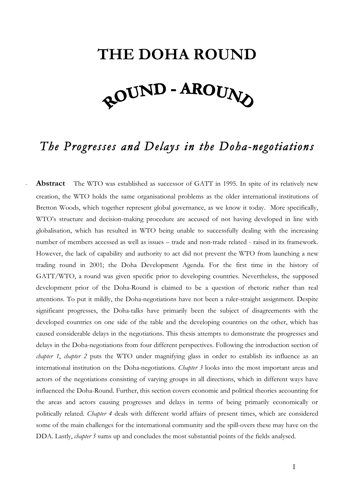## **THE DOHA ROUND** *<u> <u>ROUND</u>* - AROUNA</u>

## *The Progresses and Delays in the Doha-negotiations*

Abstract The WTO was established as successor of GATT in 1995. In spite of its relatively new creation, the WTO holds the same organisational problems as the older international institutions of Bretton Woods, which together represent global governance, as we know it today. More specifically, WTO's structure and decision-making procedure are accused of not having developed in line with globalisation, which has resulted in WTO being unable to successfully dealing with the increasing number of members accessed as well as issues – trade and non-trade related - raised in its framework. However, the lack of capability and authority to act did not prevent the WTO from launching a new trading round in 2001; the Doha Development Agenda. For the first time in the history of GATT/WTO, a round was given specific prior to developing countries. Nevertheless, the supposed development prior of the Doha-Round is claimed to be a question of rhetoric rather than real attentions. To put it mildly, the Doha-negotiations have not been a ruler-straight assignment. Despite significant progresses, the Doha-talks have primarily been the subject of disagreements with the developed countries on one side of the table and the developing countries on the other, which has caused considerable delays in the negotiations. This thesis attempts to demonstrate the progresses and delays in the Doha-negotiations from four different perspectives. Following the introduction section of *chapter 1*, *chapter 2* puts the WTO under magnifying glass in order to establish its influence as an international institution on the Doha-negotiations. *Chapter 3* looks into the most important areas and actors of the negotiations consisting of varying groups in all directions, which in different ways have influenced the Doha-Round. Further, this section covers economic and political theories accounting for the areas and actors causing progresses and delays in terms of being primarily economically or politically related. *Chapter 4* deals with different world affairs of present times, which are considered some of the main challenges for the international community and the spill-overs these may have on the DDA. Lastly, *chapter 5* sums up and concludes the most substantial points of the fields analysed.